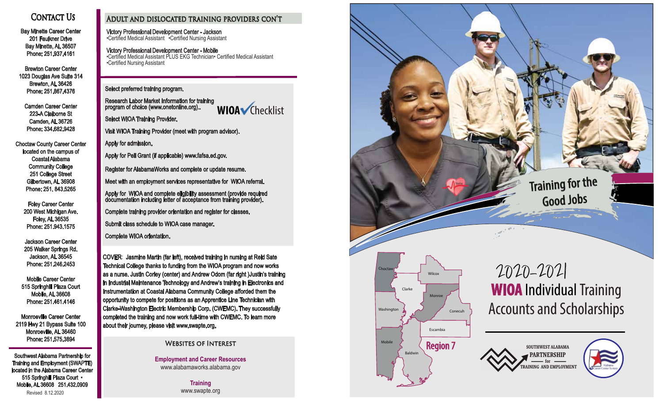# **CONTACT US**

Bay Minette Career Center 201 Faulkner Drive Bay Minette, AL 36507 Phone: 251.937.4161

Brewton Career Center 1023 Douglas Ave Suite 314 Brewton, AL 36426 Phone: 251.867.4376

Camden Career Center 223-A Claiborne St Camden, AL 36726 Phone: 334.682.9428

Choctaw County Career Center located on the campus of Coastal Alabama Community College 251 College Street Gilbertown, AL 36908 Phone: 251. 843.5265

Foley Career Center 200 West Michigan Ave. Foley, AL 36535 Phone: 251.943.1575

Jackson Career Center 205 Walker Springs Rd. Jackson, AL 36545 Phone: 251.246.2453

Mobile Career Center 515 Springhill Plaza Court Mobile, AL 36608 Phone: 251.461.4146

Monroeville Career Center 2119 Hwy 21 Bypass Suite 100 Monroeville, AL 36460 Phone: 251.575.3894

Southwest Alabama Partnership for Training and Employment (SWAPTE) located in the Alabama Career Center 515 Springhill Plaza Court • Mobile, AL 36608 251.432.0909 Revised 8.12.2020

### Adult and dislocated training providers con't

Victory Professional Development Center - Jackson •Certified Medical Assistant •Certified Nursing Assistant

Victory Professional Development Center - Mobile •Certified Medical Assistant PLUS EKG Technician• Certified Medical Assistant •Certified Nursing Assistant

Select preferred training program.

Research Labor Market Information for training program of choice (www.onetonline.org)..

**WIOA** Checklist

Select WIOA Training Provider.

Visit WIOA Training Provider (meet with program advisor).

Apply for admission.

Apply for Pell Grant (if applicable) www.fafsa.ed.gov.

Register for AlabamaWorks and complete or update resume.

Meet with an employment services representative for WIOA referral.

Apply for WIOA and complete eligibility assessment (provide required documentation including letter of acceptance from training provider).

Complete training provider orientation and register for classes.

Submit class schedule to WIOA case manager.

Complete WIOA orientation.

COVER: Jasmine Martin (far left), received training in nursing at Reid Sate Technical College thanks to funding from the WIOA program and now works as a nurse. Justin Corley (center) and Andrew Odom (far right )Justin's training in Industrial Maintenance Technology and Andrew's training in Electronics and Instrumentation at Coastal Alabama Community College afforded them the opportunity to compete for positions as an Apprentice Line Technician with Clarke-Washington Electric Membership Corp. (CWEMC). They successfully completed the training and now work full-time with CWEMC. To learn more about their journey, please visit www.swapte.org.

Websites of Interest

**Employment and Career Resources** www.alabamaworks.alabama.gov

> **Training** www.swapte.org